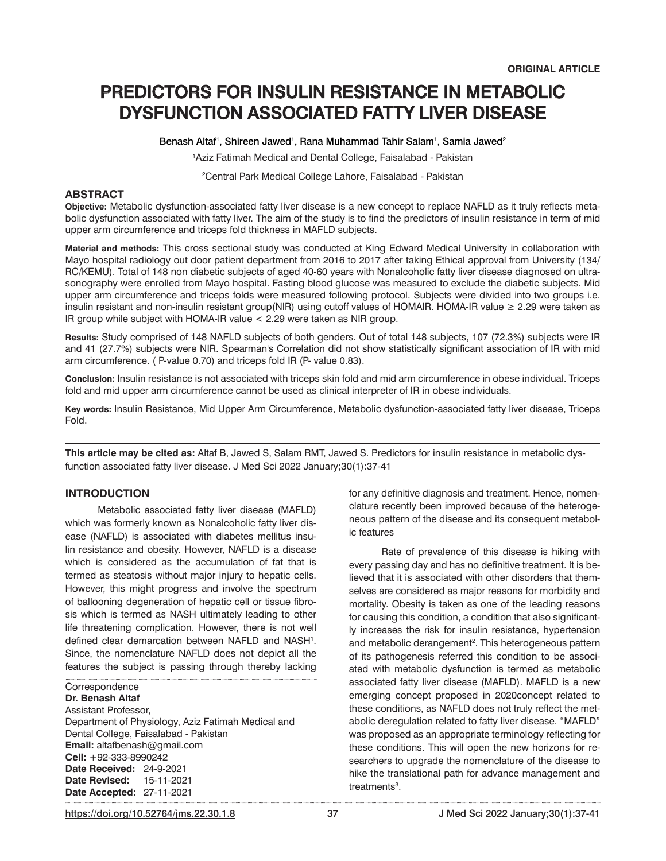# PREDICTORS FOR INSULIN RESISTANCE IN METABOLIC DYSFUNCTION ASSOCIATED FATTY LIVER DISEASE

Benash Altaf<sup>1</sup>, Shireen Jawed<sup>1</sup>, Rana Muhammad Tahir Salam<sup>1</sup>, Samia Jawed<sup>2</sup>

1 Aziz Fatimah Medical and Dental College, Faisalabad - Pakistan

2 Central Park Medical College Lahore, Faisalabad - Pakistan

## **ABSTRACT**

**Objective:** Metabolic dysfunction-associated fatty liver disease is a new concept to replace NAFLD as it truly reflects metabolic dysfunction associated with fatty liver. The aim of the study is to find the predictors of insulin resistance in term of mid upper arm circumference and triceps fold thickness in MAFLD subjects.

**Material and methods:** This cross sectional study was conducted at King Edward Medical University in collaboration with Mayo hospital radiology out door patient department from 2016 to 2017 after taking Ethical approval from University (134/ RC/KEMU). Total of 148 non diabetic subjects of aged 40-60 years with Nonalcoholic fatty liver disease diagnosed on ultrasonography were enrolled from Mayo hospital. Fasting blood glucose was measured to exclude the diabetic subjects. Mid upper arm circumference and triceps folds were measured following protocol. Subjects were divided into two groups i.e. insulin resistant and non-insulin resistant group(NIR) using cutoff values of HOMAIR. HOMA-IR value ≥ 2.29 were taken as IR group while subject with HOMA-IR value < 2.29 were taken as NIR group.

**Results:** Study comprised of 148 NAFLD subjects of both genders. Out of total 148 subjects, 107 (72.3%) subjects were IR and 41 (27.7%) subjects were NIR. Spearman's Correlation did not show statistically significant association of IR with mid arm circumference. ( P-value 0.70) and triceps fold IR (P- value 0.83).

**Conclusion:** Insulin resistance is not associated with triceps skin fold and mid arm circumference in obese individual. Triceps fold and mid upper arm circumference cannot be used as clinical interpreter of IR in obese individuals.

**Key words:** Insulin Resistance, Mid Upper Arm Circumference, Metabolic dysfunction-associated fatty liver disease, Triceps Fold.

**This article may be cited as:** Altaf B, Jawed S, Salam RMT, Jawed S. Predictors for insulin resistance in metabolic dysfunction associated fatty liver disease. J Med Sci 2022 January;30(1):37-41

## **INTRODUCTION**

Metabolic associated fatty liver disease (MAFLD) which was formerly known as Nonalcoholic fatty liver disease (NAFLD) is associated with diabetes mellitus insulin resistance and obesity. However, NAFLD is a disease which is considered as the accumulation of fat that is termed as steatosis without major injury to hepatic cells. However, this might progress and involve the spectrum of ballooning degeneration of hepatic cell or tissue fibrosis which is termed as NASH ultimately leading to other life threatening complication. However, there is not well defined clear demarcation between NAFLD and NASH<sup>1</sup>. Since, the nomenclature NAFLD does not depict all the features the subject is passing through thereby lacking

**Correspondence Dr. Benash Altaf** Assistant Professor, Department of Physiology, Aziz Fatimah Medical and

Dental College, Faisalabad - Pakistan **Email:** altafbenash@gmail.com **Cell:** +92-333-8990242 **Date Received:** 24-9-2021 **Date Revised:** 15-11-2021 **Date Accepted:** 27-11-2021

for any definitive diagnosis and treatment. Hence, nomenclature recently been improved because of the heterogeneous pattern of the disease and its consequent metabolic features

Rate of prevalence of this disease is hiking with every passing day and has no definitive treatment. It is believed that it is associated with other disorders that themselves are considered as major reasons for morbidity and mortality. Obesity is taken as one of the leading reasons for causing this condition, a condition that also significantly increases the risk for insulin resistance, hypertension and metabolic derangement<sup>2</sup>. This heterogeneous pattern of its pathogenesis referred this condition to be associated with metabolic dysfunction is termed as metabolic associated fatty liver disease (MAFLD). MAFLD is a new emerging concept proposed in 2020concept related to these conditions, as NAFLD does not truly reflect the metabolic deregulation related to fatty liver disease. "MAFLD" was proposed as an appropriate terminology reflecting for these conditions. This will open the new horizons for researchers to upgrade the nomenclature of the disease to hike the translational path for advance management and treatments<sup>3</sup>.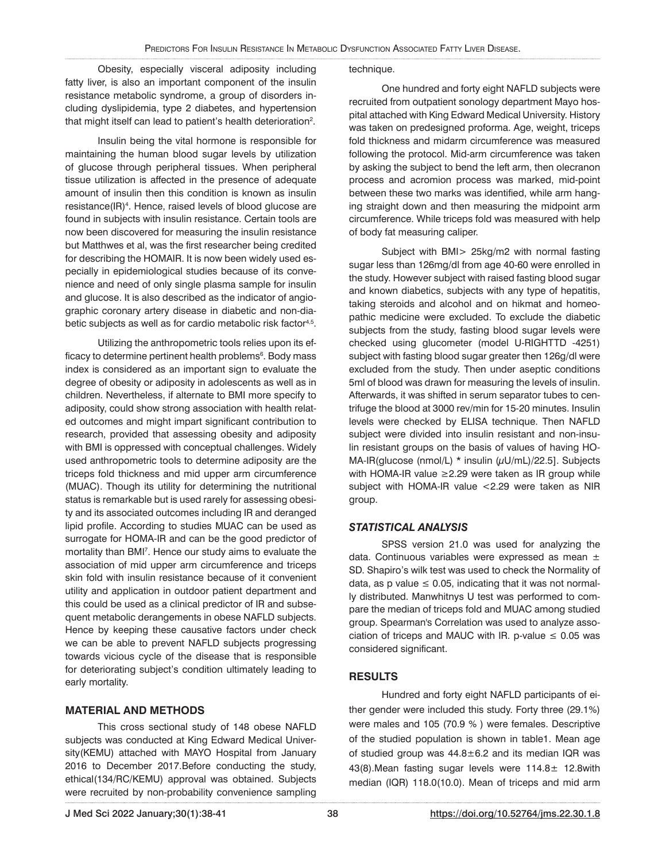Obesity, especially visceral adiposity including fatty liver, is also an important component of the insulin resistance metabolic syndrome, a group of disorders including dyslipidemia, type 2 diabetes, and hypertension that might itself can lead to patient's health deterioration $^2$ .

Insulin being the vital hormone is responsible for maintaining the human blood sugar levels by utilization of glucose through peripheral tissues. When peripheral tissue utilization is affected in the presence of adequate amount of insulin then this condition is known as insulin resistance(IR)<sup>4</sup>. Hence, raised levels of blood glucose are found in subjects with insulin resistance. Certain tools are now been discovered for measuring the insulin resistance but Matthwes et al, was the first researcher being credited for describing the HOMAIR. It is now been widely used especially in epidemiological studies because of its convenience and need of only single plasma sample for insulin and glucose. It is also described as the indicator of angiographic coronary artery disease in diabetic and non-diabetic subjects as well as for cardio metabolic risk factor<sup>4,5</sup>.

Utilizing the anthropometric tools relies upon its efficacy to determine pertinent health problems<sup>6</sup>. Body mass index is considered as an important sign to evaluate the degree of obesity or adiposity in adolescents as well as in children. Nevertheless, if alternate to BMI more specify to adiposity, could show strong association with health related outcomes and might impart significant contribution to research, provided that assessing obesity and adiposity with BMI is oppressed with conceptual challenges. Widely used anthropometric tools to determine adiposity are the triceps fold thickness and mid upper arm circumference (MUAC). Though its utility for determining the nutritional status is remarkable but is used rarely for assessing obesity and its associated outcomes including IR and deranged lipid profile. According to studies MUAC can be used as surrogate for HOMA-IR and can be the good predictor of mortality than BMI7 . Hence our study aims to evaluate the association of mid upper arm circumference and triceps skin fold with insulin resistance because of it convenient utility and application in outdoor patient department and this could be used as a clinical predictor of IR and subsequent metabolic derangements in obese NAFLD subjects. Hence by keeping these causative factors under check we can be able to prevent NAFLD subjects progressing towards vicious cycle of the disease that is responsible for deteriorating subject's condition ultimately leading to early mortality.

### **MATERIAL AND METHODS**

This cross sectional study of 148 obese NAFLD subjects was conducted at King Edward Medical University(KEMU) attached with MAYO Hospital from January 2016 to December 2017.Before conducting the study, ethical(134/RC/KEMU) approval was obtained. Subjects were recruited by non-probability convenience sampling

#### technique.

One hundred and forty eight NAFLD subjects were recruited from outpatient sonology department Mayo hospital attached with King Edward Medical University. History was taken on predesigned proforma. Age, weight, triceps fold thickness and midarm circumference was measured following the protocol. Mid-arm circumference was taken by asking the subject to bend the left arm, then olecranon process and acromion process was marked, mid-point between these two marks was identified, while arm hanging straight down and then measuring the midpoint arm circumference. While triceps fold was measured with help of body fat measuring caliper.

Subject with BMI> 25kg/m2 with normal fasting sugar less than 126mg/dl from age 40-60 were enrolled in the study. However subject with raised fasting blood sugar and known diabetics, subjects with any type of hepatitis, taking steroids and alcohol and on hikmat and homeopathic medicine were excluded. To exclude the diabetic subjects from the study, fasting blood sugar levels were checked using glucometer (model U-RIGHTTD -4251) subject with fasting blood sugar greater then 126g/dl were excluded from the study. Then under aseptic conditions 5ml of blood was drawn for measuring the levels of insulin. Afterwards, it was shifted in serum separator tubes to centrifuge the blood at 3000 rev/min for 15-20 minutes. Insulin levels were checked by ELISA technique. Then NAFLD subject were divided into insulin resistant and non-insulin resistant groups on the basis of values of having HO-MA-IR(glucose (nmol/L)  $*$  insulin ( $\mu$ U/mL)/22.5]. Subjects with HOMA-IR value ≥2.29 were taken as IR group while subject with HOMA-IR value <2.29 were taken as NIR group.

## *STATISTICAL ANALYSIS*

SPSS version 21.0 was used for analyzing the data. Continuous variables were expressed as mean ± SD. Shapiro's wilk test was used to check the Normality of data, as p value  $\leq$  0.05, indicating that it was not normally distributed. Manwhitnys U test was performed to compare the median of triceps fold and MUAC among studied group. Spearman's Correlation was used to analyze association of triceps and MAUC with IR. p-value  $\leq$  0.05 was considered significant.

## **RESULTS**

Hundred and forty eight NAFLD participants of either gender were included this study. Forty three (29.1%) were males and 105 (70.9 % ) were females. Descriptive of the studied population is shown in table1. Mean age of studied group was 44.8±6.2 and its median IQR was 43(8).Mean fasting sugar levels were 114.8± 12.8with median (IQR) 118.0(10.0). Mean of triceps and mid arm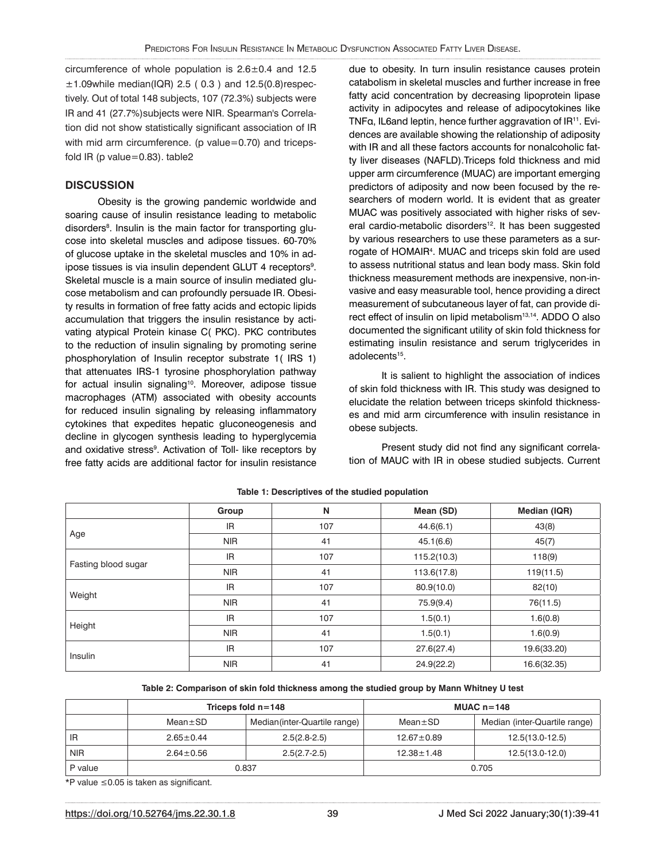circumference of whole population is 2.6±0.4 and 12.5  $\pm$ 1.09while median(IQR) 2.5 (0.3) and 12.5(0.8) respectively. Out of total 148 subjects, 107 (72.3%) subjects were IR and 41 (27.7%)subjects were NIR. Spearman's Correlation did not show statistically significant association of IR with mid arm circumference. (p value=0.70) and tricepsfold IR (p value=0.83). table2

# **DISCUSSION**

Obesity is the growing pandemic worldwide and soaring cause of insulin resistance leading to metabolic disorders<sup>8</sup>. Insulin is the main factor for transporting glucose into skeletal muscles and adipose tissues. 60-70% of glucose uptake in the skeletal muscles and 10% in adipose tissues is via insulin dependent GLUT 4 receptors<sup>9</sup>. Skeletal muscle is a main source of insulin mediated glucose metabolism and can profoundly persuade IR. Obesity results in formation of free fatty acids and ectopic lipids accumulation that triggers the insulin resistance by activating atypical Protein kinase C( PKC). PKC contributes to the reduction of insulin signaling by promoting serine phosphorylation of Insulin receptor substrate 1( IRS 1) that attenuates IRS-1 tyrosine phosphorylation pathway for actual insulin signaling<sup>10</sup>. Moreover, adipose tissue macrophages (ATM) associated with obesity accounts for reduced insulin signaling by releasing inflammatory cytokines that expedites hepatic gluconeogenesis and decline in glycogen synthesis leading to hyperglycemia and oxidative stress<sup>9</sup>. Activation of Toll- like receptors by free fatty acids are additional factor for insulin resistance

due to obesity. In turn insulin resistance causes protein catabolism in skeletal muscles and further increase in free fatty acid concentration by decreasing lipoprotein lipase activity in adipocytes and release of adipocytokines like TNFα, IL6and leptin, hence further aggravation of IR11. Evidences are available showing the relationship of adiposity with IR and all these factors accounts for nonalcoholic fatty liver diseases (NAFLD).Triceps fold thickness and mid upper arm circumference (MUAC) are important emerging predictors of adiposity and now been focused by the researchers of modern world. It is evident that as greater MUAC was positively associated with higher risks of several cardio-metabolic disorders<sup>12</sup>. It has been suggested by various researchers to use these parameters as a surrogate of HOMAIR4 . MUAC and triceps skin fold are used to assess nutritional status and lean body mass. Skin fold thickness measurement methods are inexpensive, non-invasive and easy measurable tool, hence providing a direct measurement of subcutaneous layer of fat, can provide direct effect of insulin on lipid metabolism<sup>13,14</sup>. ADDO O also documented the significant utility of skin fold thickness for estimating insulin resistance and serum triglycerides in adolecents<sup>15</sup>.

It is salient to highlight the association of indices of skin fold thickness with IR. This study was designed to elucidate the relation between triceps skinfold thicknesses and mid arm circumference with insulin resistance in obese subjects.

Present study did not find any significant correlation of MAUC with IR in obese studied subjects. Current

|                     | Group      | N   | Mean (SD)   | Median (IQR) |
|---------------------|------------|-----|-------------|--------------|
| Age                 | <b>IR</b>  | 107 | 44.6(6.1)   | 43(8)        |
|                     | <b>NIR</b> | 41  | 45.1(6.6)   | 45(7)        |
| Fasting blood sugar | <b>IR</b>  | 107 | 115.2(10.3) | 118(9)       |
|                     | <b>NIR</b> | 41  | 113.6(17.8) | 119(11.5)    |
| Weight              | <b>IR</b>  | 107 | 80.9(10.0)  | 82(10)       |
|                     | <b>NIR</b> | 41  | 75.9(9.4)   | 76(11.5)     |
| Height              | <b>IR</b>  | 107 | 1.5(0.1)    | 1.6(0.8)     |
|                     | <b>NIR</b> | 41  | 1.5(0.1)    | 1.6(0.9)     |
| Insulin             | <b>IR</b>  | 107 | 27.6(27.4)  | 19.6(33.20)  |
|                     | <b>NIR</b> | 41  | 24.9(22.2)  | 16.6(32.35)  |

#### **Table 1: Descriptives of the studied population**

**Table 2: Comparison of skin fold thickness among the studied group by Mann Whitney U test**

|            | Triceps fold $n = 148$ |                               | MUAC $n=148$     |                               |
|------------|------------------------|-------------------------------|------------------|-------------------------------|
|            | $Mean \pm SD$          | Median (inter-Quartile range) | $Mean \pm SD$    | Median (inter-Quartile range) |
| IR         | $2.65 \pm 0.44$        | $2.5(2.8-2.5)$                | $12.67 \pm 0.89$ | $12.5(13.0-12.5)$             |
| <b>NIR</b> | $2.64 \pm 0.56$        | $2.5(2.7-2.5)$                | $12.38 \pm 1.48$ | 12.5(13.0-12.0)               |
| P value    | 0.837                  |                               | 0.705            |                               |

\*P value ≤0.05 is taken as significant.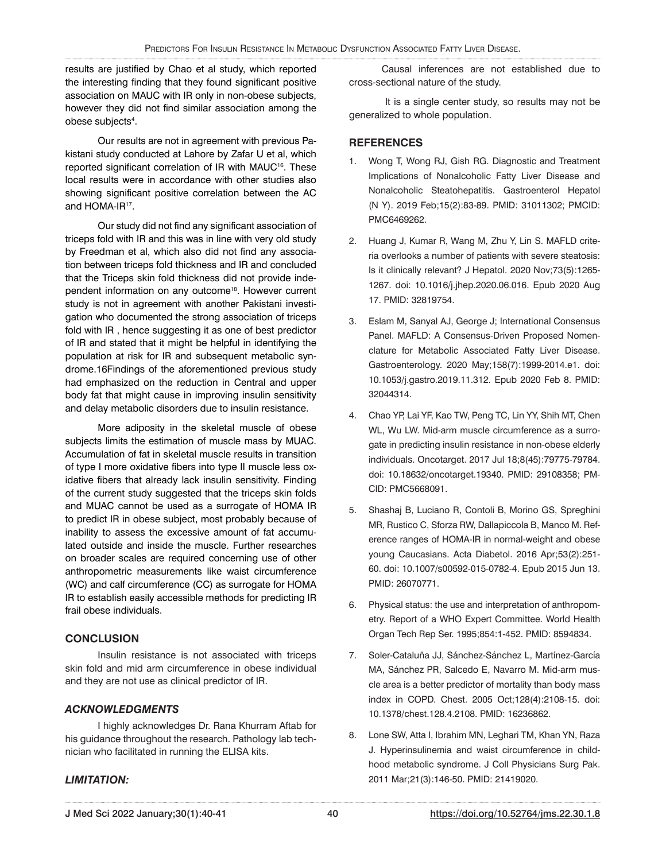results are justified by Chao et al study, which reported the interesting finding that they found significant positive association on MAUC with IR only in non-obese subjects, however they did not find similar association among the obese subjects<sup>4</sup>.

Our results are not in agreement with previous Pakistani study conducted at Lahore by Zafar U et al, which reported significant correlation of IR with MAUC<sup>16</sup>. These local results were in accordance with other studies also showing significant positive correlation between the AC and HOMA-IR<sup>17</sup>.

Our study did not find any significant association of triceps fold with IR and this was in line with very old study by Freedman et al, which also did not find any association between triceps fold thickness and IR and concluded that the Triceps skin fold thickness did not provide independent information on any outcome<sup>18</sup>. However current study is not in agreement with another Pakistani investigation who documented the strong association of triceps fold with IR , hence suggesting it as one of best predictor of IR and stated that it might be helpful in identifying the population at risk for IR and subsequent metabolic syndrome.16Findings of the aforementioned previous study had emphasized on the reduction in Central and upper body fat that might cause in improving insulin sensitivity and delay metabolic disorders due to insulin resistance.

More adiposity in the skeletal muscle of obese subjects limits the estimation of muscle mass by MUAC. Accumulation of fat in skeletal muscle results in transition of type I more oxidative fibers into type II muscle less oxidative fibers that already lack insulin sensitivity. Finding of the current study suggested that the triceps skin folds and MUAC cannot be used as a surrogate of HOMA IR to predict IR in obese subject, most probably because of inability to assess the excessive amount of fat accumulated outside and inside the muscle. Further researches on broader scales are required concerning use of other anthropometric measurements like waist circumference (WC) and calf circumference (CC) as surrogate for HOMA IR to establish easily accessible methods for predicting IR frail obese individuals.

# **CONCLUSION**

Insulin resistance is not associated with triceps skin fold and mid arm circumference in obese individual and they are not use as clinical predictor of IR.

# *ACKNOWLEDGMENTS*

I highly acknowledges Dr. Rana Khurram Aftab for his guidance throughout the research. Pathology lab technician who facilitated in running the ELISA kits.

# *LIMITATION:*

Causal inferences are not established due to cross-sectional nature of the study.

 It is a single center study, so results may not be generalized to whole population.

# **REFERENCES**

- 1. Wong T, Wong RJ, Gish RG. Diagnostic and Treatment Implications of Nonalcoholic Fatty Liver Disease and Nonalcoholic Steatohepatitis. Gastroenterol Hepatol (N Y). 2019 Feb;15(2):83-89. PMID: 31011302; PMCID: PMC6469262.
- 2. Huang J, Kumar R, Wang M, Zhu Y, Lin S. MAFLD criteria overlooks a number of patients with severe steatosis: Is it clinically relevant? J Hepatol. 2020 Nov;73(5):1265- 1267. doi: 10.1016/j.jhep.2020.06.016. Epub 2020 Aug 17. PMID: 32819754.
- 3. Eslam M, Sanyal AJ, George J; International Consensus Panel. MAFLD: A Consensus-Driven Proposed Nomenclature for Metabolic Associated Fatty Liver Disease. Gastroenterology. 2020 May;158(7):1999-2014.e1. doi: 10.1053/j.gastro.2019.11.312. Epub 2020 Feb 8. PMID: 32044314.
- 4. Chao YP, Lai YF, Kao TW, Peng TC, Lin YY, Shih MT, Chen WL, Wu LW. Mid-arm muscle circumference as a surrogate in predicting insulin resistance in non-obese elderly individuals. Oncotarget. 2017 Jul 18;8(45):79775-79784. doi: 10.18632/oncotarget.19340. PMID: 29108358; PM-CID: PMC5668091.
- 5. Shashaj B, Luciano R, Contoli B, Morino GS, Spreghini MR, Rustico C, Sforza RW, Dallapiccola B, Manco M. Reference ranges of HOMA-IR in normal-weight and obese young Caucasians. Acta Diabetol. 2016 Apr;53(2):251- 60. doi: 10.1007/s00592-015-0782-4. Epub 2015 Jun 13. PMID: 26070771.
- 6. Physical status: the use and interpretation of anthropometry. Report of a WHO Expert Committee. World Health Organ Tech Rep Ser. 1995;854:1-452. PMID: 8594834.
- 7. Soler-Cataluña JJ, Sánchez-Sánchez L, Martínez-García MA, Sánchez PR, Salcedo E, Navarro M. Mid-arm muscle area is a better predictor of mortality than body mass index in COPD. Chest. 2005 Oct;128(4):2108-15. doi: 10.1378/chest.128.4.2108. PMID: 16236862.
- 8. Lone SW, Atta I, Ibrahim MN, Leghari TM, Khan YN, Raza J. Hyperinsulinemia and waist circumference in childhood metabolic syndrome. J Coll Physicians Surg Pak. 2011 Mar;21(3):146-50. PMID: 21419020.